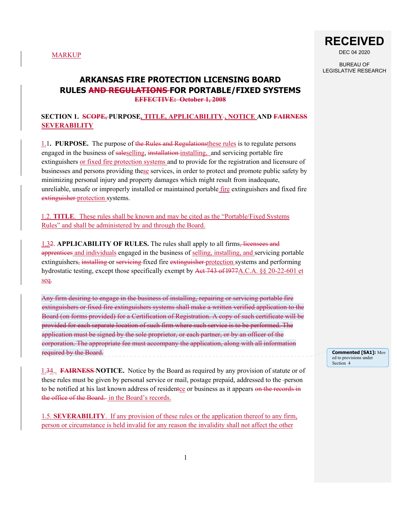

DEC 04 2020

BUREAU OF LEGISLATIVE RESEARCH

**Commented [SA1]:** Mov

# **ARKANSAS FIRE PROTECTION LICENSING BOARD RULES AND REGULATIONS FOR PORTABLE/FIXED SYSTEMS EFFECTIVE: October 1, 2008**

# **SECTION 1. SCOPE, PURPOSE, TITLE, APPLICABILITY , NOTICE AND FAIRNESS SEVERABILITY**

1.1**. PURPOSE.** The purpose of the Rules and Regulationsthese rules is to regulate persons engaged in the business of saleselling, installation installing, and servicing portable fire extinguishers or fixed fire protection systems and to provide for the registration and licensure of businesses and persons providing these services, in order to protect and promote public safety by minimizing personal injury and property damages which might result from inadequate, unreliable, unsafe or improperly installed or maintained portable fire extinguishers and fixed fire extinguisher protection systems.

1.2. **TITLE**. These rules shall be known and may be cited as the "Portable/Fixed Systems Rules" and shall be administered by and through the Board.

1.32. **APPLICABILITY OF RULES.** The rules shall apply to all firms, licensees and apprentices and individuals engaged in the business of selling, installing, and servicing portable extinguishers, installing or servicing fixed fire extinguisher protection systems and performing hydrostatic testing, except those specifically exempt by Act 743 of 1977A.C.A. §§ 20-22-601 et seq.

Any firm desiring to engage in the business of installing, repairing or servicing portable fire extinguishers or fixed fire extinguishers systems shall make a written verified application to the Board (on forms provided) for a Certification of Registration. A copy of such certificate will be provided for each separate location of such firm where such service is to be performed. The application must be signed by the sole proprietor, or each partner, or by an officer of the corporation. The appropriate fee must accompany the application, along with all information required by the Board.

ed to provisions under Section 4

1.34.. **FAIRNESS NOTICE.** Notice by the Board as required by any provision of statute or of these rules must be given by personal service or mail, postage prepaid, addressed to the -person to be notified at his last known address of residentce or business as it appears on the records in the office of the Board. in the Board's records.

1.5. **SEVERABILITY**. If any provision of these rules or the application thereof to any firm, person or circumstance is held invalid for any reason the invalidity shall not affect the other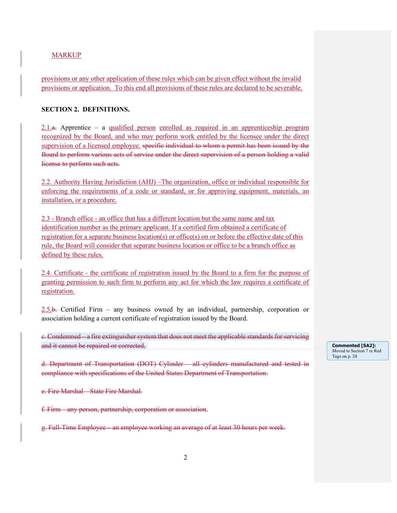provisions or any other application of these rules which can be given effect without the invalid provisions or application. To this end all provisions of these rules are declared to be severable.

### **SECTION 2. DEFINITIONS.**

 $2.1$ a. Apprentice – a qualified person enrolled as required in an apprenticeship program recognized by the Board, and who may perform work entitled by the licensee under the direct supervision of a licensed employee. specific individual to whom a permit has been issued by the Board to perform various acts of service under the direct supervision of a person holding a valid license to perform such acts.

2.2. Authority Having Jurisdiction (AHJ) –The organization, office or individual responsible for enforcing the requirements of a code or standard, or for approving equipment, materials, an installation, or a procedure.

2.3 - Branch office - an office that has a different location but the same name and tax identification number as the primary applicant. If a certified firm obtained a certificate of registration for a separate business location(s) or office(s) on or before the effective date of this rule, the Board will consider that separate business location or office to be a branch office as defined by these rules.

2.4. Certificate - the certificate of registration issued by the Board to a firm for the purpose of granting permission to such firm to perform any act for which the law requires a certificate of registration.

2.5.b. Certified Firm – any business owned by an individual, partnership, corporation or association holding a current certificate of registration issued by the Board.

c. Condemned – a fire extinguisher system that does not meet the applicable standards for servicing and it cannot be repaired or corrected,

d. Department of Transportation (DOT) Cylinder – all cylinders manufactured and tested in compliance with specifications of the United States Department of Transportation.

e. Fire Marshal – State Fire Marshal.

f. Firm – any person, partnership, corporation or association.

g. Full-Time Employee – an employee working an average of at least 30 hours per week.

**Commented [SA2]:**  Moved to Section 7 re Red Tags on p. 24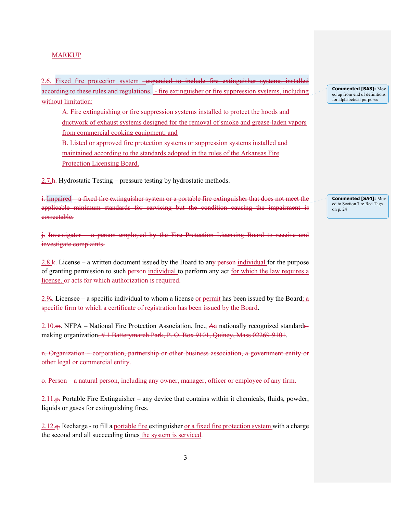2.6. Fixed fire protection system –expanded to include fire extinguisher systems installed according to these rules and regulations. - fire extinguisher or fire suppression systems, including without limitation:

A. Fire extinguishing or fire suppression systems installed to protect the hoods and ductwork of exhaust systems designed for the removal of smoke and grease-laden vapors from commercial cooking equipment; and

B. Listed or approved fire protection systems or suppression systems installed and maintained according to the standards adopted in the rules of the Arkansas Fire Protection Licensing Board.

 $2.7.$  h. Hydrostatic Testing – pressure testing by hydrostatic methods.

i. Impaired – a fixed fire extinguisher system or a portable fire extinguisher that does not meet the applicable minimum standards for servicing but the condition causing the impairment is correctable.

j. Investigator – a person employed by the Fire Protection Licensing Board to receive and investigate complaints.

2.8.k. License – a written document issued by the Board to any person-individual for the purpose of granting permission to such person individual to perform any act for which the law requires a license. or acts for which authorization is required.

2.9l. Licensee – a specific individual to whom a license or permit has been issued by the Board; a specific firm to which a certificate of registration has been issued by the Board.

2.10.m. NFPA – National Fire Protection Association, Inc., Aa nationally recognized standardsmaking organization, #1 Batterymarch Park, P. O. Box 9101, Quincy, Mass 02269-9101.

n. Organization – corporation, partnership or other business association, a government entity or other legal or commercial entity.

o. Person – a natural person, including any owner, manager, officer or employee of any firm.

 $2.11.$   $\mu$ . Portable Fire Extinguisher – any device that contains within it chemicals, fluids, powder, liquids or gases for extinguishing fires.

2.12.<sub>9</sub>. Recharge - to fill a portable fire extinguisher or a fixed fire protection system with a charge the second and all succeeding times the system is serviced.

**Commented [SA3]:** Mov ed up from end of definitions for alphabetical purposes

**Commented [SA4]:** Mov ed to Section 7 re Red Tags on p. 24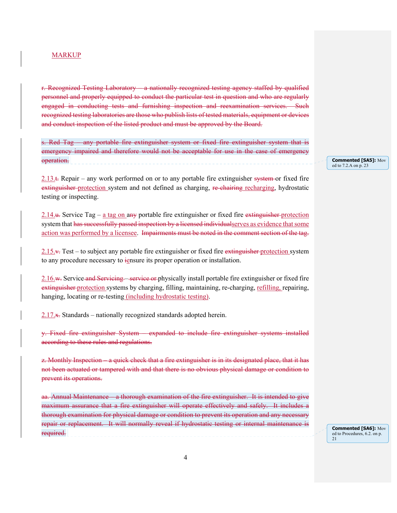r. Recognized Testing Laboratory – a nationally recognized testing agency staffed by qualified personnel and properly equipped to conduct the particular test in question and who are regularly engaged in conducting tests and furnishing inspection and reexamination services. Such recognized testing laboratories are those who publish lists of tested materials, equipment or devices and conduct inspection of the listed product and must be approved by the Board.

s. Red Tag – any portable fire extinguisher system or fixed fire extinguisher system that is emergency impaired and therefore would not be acceptable for use in the case of emergency operation.

 $2.13.1$ . Repair – any work performed on or to any portable fire extinguisher system or fixed fire extinguisher protection system and not defined as charging, re-chairing recharging, hydrostatic testing or inspecting.

2.14.u. Service Tag – a tag on any portable fire extinguisher or fixed fire extinguisher protection system that has successfully passed inspection by a licensed individual serves as evidence that some action was performed by a licensee. Impairments must be noted in the comment section of the tag.

 $2.15.4$ . Test – to subject any portable fire extinguisher or fixed fire extinguisher protection system to any procedure necessary to iensure its proper operation or installation.

2.16.w. Service and Servicing – service or physically install portable fire extinguisher or fixed fire extinguisher protection systems by charging, filling, maintaining, re-charging, refilling, repairing, hanging, locating or re-testing (including hydrostatic testing).

2.17.x. Standards – nationally recognized standards adopted herein.

y. Fixed fire extinguisher System – expanded to include fire extinguisher systems installed according to these rules and regulations.

z. Monthly Inspection – a quick check that a fire extinguisher is in its designated place, that it has not been actuated or tampered with and that there is no obvious physical damage or condition to prevent its operations.

aa. Annual Maintenance – a thorough examination of the fire extinguisher. It is intended to give maximum assurance that a fire extinguisher will operate effectively and safely. It includes a thorough examination for physical damage or condition to prevent its operation and any necessary repair or replacement. It will normally reveal if hydrostatic testing or internal maintenance is required.

**Commented [SA5]:** Mov ed to 7.2.A on p. 23

**Commented [SA6]:** Mov ed to Procedures, 6.2. on p. 21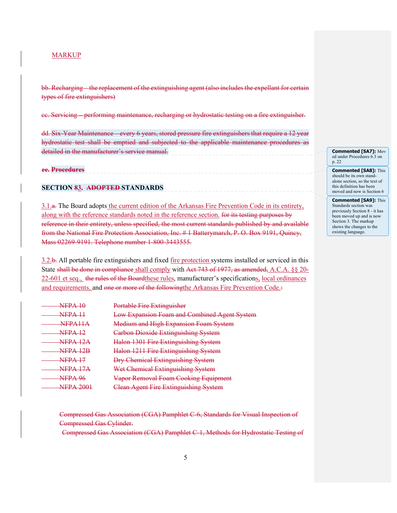bb. Recharging – the replacement of the extinguishing agent (also includes the expellant for certain types of fire extinguishers)

cc. Servicing – performing maintenance, recharging or hydrostatic testing on a fire extinguisher.

dd. Six-Year Maintenance – every 6 years, stored pressure fire extinguishers that require a 12 year hydrostatic test shall be emptied and subjected to the applicable maintenance procedures as detailed in the manufacturer's service manual.

### **ee. Procedures**

# **SECTION 83. ADOPTED STANDARDS**

3.1.a. The Board adopts the current edition of the Arkansas Fire Prevention Code in its entirety, along with the reference standards noted in the reference section. for its testing purposes by reference in their entirety, unless specified, the most current standards published by and available from the National Fire Protection Association, Inc. # 1 Batterymarch, P. O. Box 9191, Quincy, Mass 02269-9191. Telephone number 1-800-3443555.

3.2.b. All portable fire extinguishers and fixed fire protection systems installed or serviced in this State shall be done in compliance shall comply with Act 743 of 1977, as amended, A.C.A. §§ 20-22-601 et seq., the rules of the Boardthese rules, manufacturer's specifications, local ordinances and requirements, and one or more of the followingthe Arkansas Fire Prevention Code.:

| NIED A<br>$\mathbf{v}$ . $\mathbf{v}$                  | Dortoble Fire Extinguisher<br><del>uole i ne Exunguishei</del> |
|--------------------------------------------------------|----------------------------------------------------------------|
| <b>NIED A</b><br>.                                     | Low Expansion Foam and Combined Agent System                   |
| NED A 11 A<br>.                                        | Medium and High Expansion Foam System                          |
| $NFDA$ 12<br><b>INTERNATIONAL</b>                      | <b>Carbon Dioxide Extinguishing System</b>                     |
| NEDA 19A<br>$\blacksquare$                             | Halon 1301 Fire Extinguishing System                           |
| NIED A-                                                | Halon 1211 Fire Extinguishing System                           |
| $\overline{\text{MFD}}$ A 17<br>. <i>. . .</i>         | <b>Dry Chemical Extinguishing System</b>                       |
| NEDA 17A<br><b>BUDGETA</b>                             | Wet Chemical Extinguishing System                              |
| <b>NFPA 96</b>                                         | Vapor Removal Foam Cooking Equipment                           |
| $\lambda$ IED A $\Delta$ $0$ 1<br><b>INTERNATIONAL</b> | <del>Clean Agent Fire Extinguishing System</del>               |

 Compressed Gas Association (CGA) Pamphlet C-6, Standards for Visual Inspection of Compressed Gas Cylinder.

Compressed Gas Association (CGA) Pamphlet C-1, Methods for Hydrostatic Testing of

**Commented [SA7]:** Mov ed under Procedures 6.3 on p. 22

**Commented [SA8]:** This should be its own standalone section, so the text of this definition has been moved and now is Section 6

**Commented [SA9]:** This Standards section was previously Section 8 - it has been moved up and is now Section 3. The markup shows the changes to the existing language.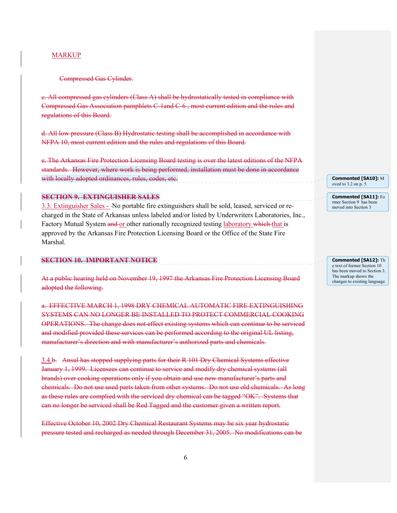### Compressed Gas Cylinder.

c. All compressed gas cylinders (Class A) shall be hydrostatically tested in compliance with Compressed Gas Association pamphlets C-1and C-6 , most current edition and the rules and regulations of this Board.

d. All low pressure (Class B) Hydrostatic testing shall be accomplished in accordance with NFPA 10, most current edition and the rules and regulations of this Board.

e. The Arkansas Fire Protection Licensing Board testing is over the latest editions of the NFPA standards. However, where work is being performed, installation must be done in accordance with locally adopted ordinances, rules, codes, etc.

### **SECTION 9. EXTINGUISHER SALES**

3.3. Extinguisher Sales - No portable fire extinguishers shall be sold, leased, serviced or recharged in the State of Arkansas unless labeled and/or listed by Underwriters Laboratories, Inc., Factory Mutual System and or other nationally recognized testing laboratory which that is approved by the Arkansas Fire Protection Licensing Board or the Office of the State Fire Marshal.

# **SECTION 10. IMPORTANT NOTICE**

At a public hearing held on November 19, 1997 the Arkansas Fire Protection Licensing Board adopted the following.

a. EFFECTIVE MARCH 1, 1998 DRY CHEMICAL AUTOMATIC FIRE EXTINGUISHING SYSTEMS CAN NO LONGER BE INSTALLED TO PROTECT COMMERCIAL COOKING OPERATIONS. The change does not effect existing systems which can continue to be serviced and modified provided these services can be performed according to the original UL listing, manufacturer's direction and with manufacturer's authorized parts and chemicals.

3.4.b. Ansul has stopped supplying parts for their R 101 Dry Chemical Systems effective January 1, 1999. Licensees can continue to service and modify dry chemical systems (all brands) over cooking operations only if you obtain and use new manufacturer's parts and chemicals. Do not use used parts taken from other systems. Do not use old chemicals. As long as these rules are complied with the serviced dry chemical can be tagged "OK". Systems that can no longer be serviced shall be Red Tagged and the customer given a written report.

Effective October 10, 2002 Dry Chemical Restaurant Systems may be six year hydrostatic pressure tested and recharged as needed through December 31, 2005. No modifications can be **Commented [SA10]:** M oved to 3.2 on p. 5

**Commented [SA11]:** Fo rmer Section 9 has been moved into Section 3

**Commented [SA12]:** Th e text of former Section 10 has been moved to Section 3. The markup shows the changes to existing language.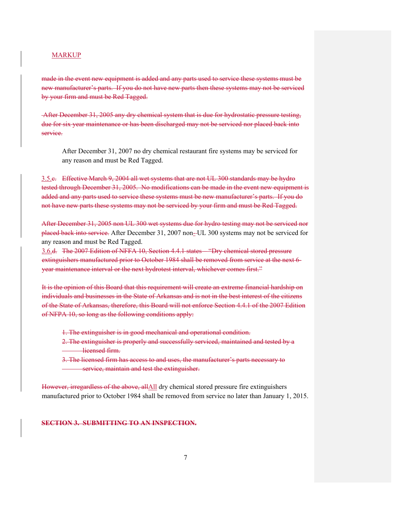made in the event new equipment is added and any parts used to service these systems must be new manufacturer's parts. If you do not have new parts then these systems may not be serviced by your firm and must be Red Tagged.

 After December 31, 2005 any dry chemical system that is due for hydrostatic pressure testing, due for six year maintenance or has been discharged may not be serviced nor placed back into service.

After December 31, 2007 no dry chemical restaurant fire systems may be serviced for any reason and must be Red Tagged.

3.5.c. Effective March 9, 2004 all wet systems that are not UL 300 standards may be hydro tested through December 31, 2005. No modifications can be made in the event new equipment is added and any parts used to service these systems must be new manufacturer's parts. If you do not have new parts these systems may not be serviced by your firm and must be Red Tagged.

After December 31, 2005 non UL 300 wet systems due for hydro testing may not be serviced nor placed back into service. After December 31, 2007 non- UL 300 systems may not be serviced for any reason and must be Red Tagged.

3.6.d. The 2007 Edition of NFFA 10, Section 4.4.1 states – "Dry chemical stored pressure extinguishers manufactured prior to October 1984 shall be removed from service at the next 6 year maintenance interval or the next hydrotest interval, whichever comes first."

It is the opinion of this Board that this requirement will create an extreme financial hardship on individuals and businesses in the State of Arkansas and is not in the best interest of the citizens of the State of Arkansas, therefore, this Board will not enforce Section 4.4.1 of the 2007 Edition of NFPA 10, so long as the following conditions apply:

- 1. The extinguisher is in good mechanical and operational condition.
- 2. The extinguisher is properly and successfully serviced, maintained and tested by a licensed firm.

3. The licensed firm has access to and uses, the manufacturer's parts necessary to service, maintain and test the extinguisher.

However, irregardless of the above, allAll dry chemical stored pressure fire extinguishers manufactured prior to October 1984 shall be removed from service no later than January 1, 2015.

**SECTION 3. SUBMITTING TO AN INSPECTION.**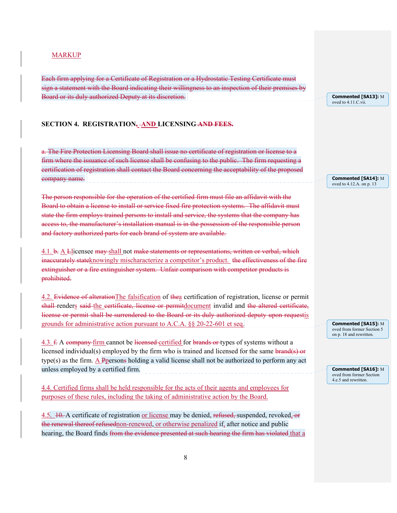Each firm applying for a Certificate of Registration or a Hydrostatic Testing Certificate must sign a statement with the Board indicating their willingness to an inspection of their premises by Board or its duly authorized Deputy at its discretion.

**Commented [SA13]:** M oved to 4.11. $\overline{C}$  vii.

**Commented [SA14]:** M oved to 4.12.A. on p. 13

#### **SECTION 4. REGISTRATION, AND LICENSING AND FEES.**

a. The Fire Protection Licensing Board shall issue no certificate of registration or license to a firm where the issuance of such license shall be confusing to the public. The firm requesting a certification of registration shall contact the Board concerning the acceptability of the proposed company name.

The person responsible for the operation of the certified firm must file an affidavit with the Board to obtain a license to install or service fixed fire protection systems. The affidavit must state the firm employs trained persons to install and service, the systems that the company has access to, the manufacturer's installation manual is in the possession of the responsible person and factory authorized parts for each brand of system are available.

4.1. b. A Llicensee may shall not make statements or representations, written or verbal, which inaccurately stateknowingly mischaracterize a competitor's product. the effectiveness of the fire extinguisher or a fire extinguisher system. Unfair comparison with competitor products is prohibited.

4.2. Evidence of alterationThe falsification of thea certification of registration, license or permit shall renders said the certificate, license or permitdocument invalid and the altered certificate, license or permit shall be surrendered to the Board or its duly authorized deputy upon requestis grounds for administrative action pursuant to A.C.A. §§ 20-22-601 et seq.

4.3. f. A company firm cannot be licensed certified for brands or types of systems without a licensed individual(s) employed by the firm who is trained and licensed for the same brand(s) or type(s) as the firm. A Ppersons holding a valid license shall not be authorized to perform any act unless employed by a certified firm.

4.4. Certified firms shall be held responsible for the acts of their agents and employees for purposes of these rules, including the taking of administrative action by the Board.

4.5. 10. A certificate of registration or license may be denied, refused, suspended, revoked, or the renewal thereof refusednon-renewed, or otherwise penalized if, after notice and public hearing, the Board finds <del>from the evidence presented at such hearing the firm has violated</del> that a

**Commented [SA15]:** M oved from former Section 5 on p. 18 and rewritten.

**Commented [SA16]:** M oved from former Section 4.e.5 and rewritten.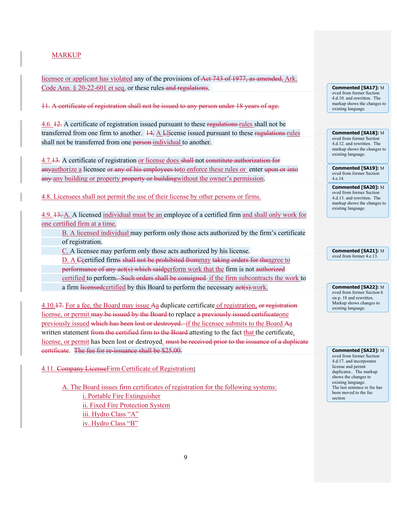licensee or applicant has violated any of the provisions of Act 743 of 1977, as amended, Ark. Code Ann. § 20-22-601 et seq. or these rules and regulations.

11. A certificate of registration shall not be issued to any person under 18 years of age.

4.6. 12. A certificate of registration issued pursuant to these regulations rules shall not be transferred from one firm to another.  $14\frac{1}{4}$  A Llicense issued pursuant to these regulations rules shall not be transferred from one person-individual to another.

4.7.13. A certificate of registration or license does shall not constitute authorization for anyauthorize a licensee or any of his employees to enforce these rules or enter upon or into any any building or property property or building without the owner's permission.

4.8. Licensees shall not permit the use of their license by other persons or firms.

4.9. 13. A. A licensed individual must be an employee of a certified firm and shall only work for one certified firm at a time.

B. A licensed individual may perform only those acts authorized by the firm's certificate of registration.

C. A licensee may perform only those acts authorized by his license.

D. A Ccertified firms shall not be prohibited frommay taking orders for theagree to

performance of any act(s) which saidperform work that the firm is not authorized

certified to perform. Such orders shall be consigned if the firm subcontracts the work to

a firm licensed certified by this Board to perform the necessary act(s).work.

4.10.17. For a fee, the Board may issue Aa duplicate certificate of registration, or registration license, or permit may be issued by the Board to replace a previously issued certificate one previously issued which has been lost or destroyed. if the licensee submits to the Board Aa written statement from the certified firm to the Board attesting to the fact that the certificate, license, or permit has been lost or destroyed. <del>must be received prior to the issuance of a duplicate</del> certificate. The fee for re-issuance shall be \$25.00.

4.11. Company LicenseFirm Certificate of Registration**:** 

A. The Board issues firm certificates of registration for the following systems: i. Portable Fire Extinguisher ii. Fixed Fire Protection System iii. Hydro Class "A" iv. Hydro Class "B"

**Commented [SA17]:** M oved from former Section 4.d.10. and rewritten. The markup shows the changes to existing language.

**Commented [SA18]:** M oved from former Section 4.d.12. and rewritten. The markup shows the changes to existing language.

**Commented [SA19]:** M oved from former Section 4.e.14.

**Commented [SA20]:** M oved from former Section 4.d.13. and rewritten. The markup shows the changes to existing language.

**Commented [SA21]:** M oved from former 4.e.13.

**Commented [SA22]:** M oved from former Section 6 on p. 18 and rewritten. Markup shows changes to existing language.

**Commented [SA23]:** M oved from former Section 4.d.17. and incorporates license and permit duplicates.. The markup shows the changes to existing language. The last sentence re fee has been moved to the fee section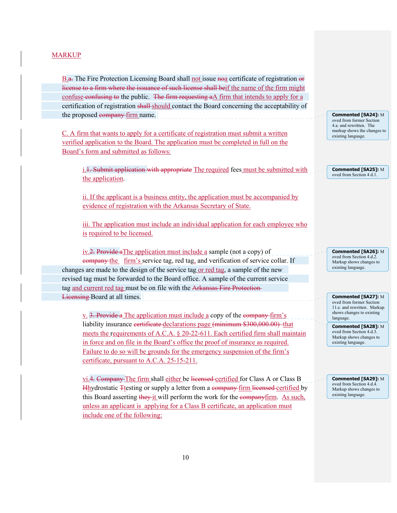B.a. The Fire Protection Licensing Board shall not issue now certificate of registration or license to a firm where the issuance of such license shall beif the name of the firm might confuse confusing to the public. The firm requesting a A firm that intends to apply for a certification of registration shall-should contact the Board concerning the acceptability of the proposed company firm name.

C. A firm that wants to apply for a certificate of registration must submit a written verified application to the Board. The application must be completed in full on the Board's form and submitted as follows:

i.<sup>1</sup>. Submit application with appropriate The required fees must be submitted with the application.

 ii. If the applicant is a business entity, the application must be accompanied by evidence of registration with the Arkansas Secretary of State.

iii. The application must include an individual application for each employee who is required to be licensed.

 iv.2. Provide aThe application must include a sample (not a copy) of company the firm's service tag, red tag, and verification of service collar. If changes are made to the design of the service tag or red tag, a sample of the new revised tag must be forwarded to the Board office. A sample of the current service tag and current red tag must be on file with the Arkansas Fire Protection-Licensing Board at all times.

v. 3. Provide a The application must include a copy of the company firm's liability insurance certificate declarations page (minimum \$300,000.00)that meets the requirements of A.C.A. § 20-22-611. Each certified firm shall maintain in force and on file in the Board's office the proof of insurance as required. Failure to do so will be grounds for the emergency suspension of the firm's certificate, pursuant to A.C.A. 25-15-211.

vi.4. Company The firm shall either be licensed certified for Class A or Class B Hhydrostatic Ttesting or supply a letter from a company firm licensed certified by this Board asserting they it will perform the work for the companyfirm. As such, unless an applicant is applying for a Class B certificate, an application must include one of the following:

**Commented [SA24]:** M oved from former Section 4.a. and rewritten. The markup shows the changes to existing language.

**Commented [SA25]:** M oved from Section 4 d.1.

**Commented [SA26]:** M oved from Section 4.d.2. Markup shows changes to existing language.

**Commented [SA27]:** M oved from former Section 11.e. and rewritten. Markup shows changes to existing language.

**Commented [SA28]:** M oved from Section 4.d.3. Markup shows changes to existing language.

**Commented [SA29]:** M oved from Section 4.d.4. Markup shows changes to existing language.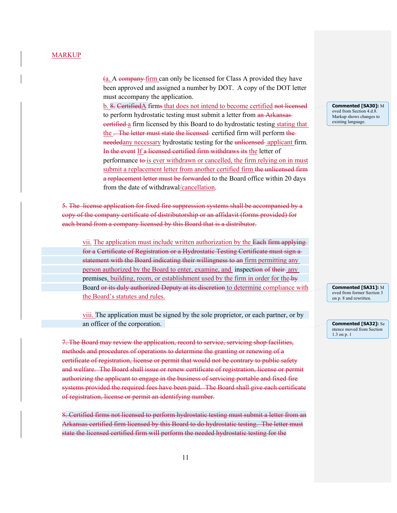(a. A company firm can only be licensed for Class A provided they have been approved and assigned a number by DOT. A copy of the DOT letter must accompany the application.

 b. 8. CertifiedA firms that does not intend to become certified not licensed to perform hydrostatic testing must submit a letter from an Arkansas eertified a firm licensed by this Board to do hydrostatic testing stating that the . The letter must state the licensed-certified firm will perform the neededany necessary hydrostatic testing for the unlicensed applicant firm. In the event If a licensed certified firm withdraws its the letter of performance to is ever withdrawn or cancelled, the firm relying on in must submit a replacement letter from another certified firm the unlicensed firm a replacement letter must be forwarded to the Board office within 20 days from the date of withdrawal/cancellation.

5. The license application for fixed fire suppression systems shall be accompanied by a copy of the company certificate of distributorship or an affidavit (forms provided) for each brand from a company licensed by this Board that is a distributor.

 vii. The application must include written authorization by the Each firm applying for a Certificate of Registration or a Hydrostatic Testing Certificate must sign a statement with the Board indicating their willingness to an firm permitting any person authorized by the Board to enter, examine, and inspection of their any premises, building, room, or establishment used by the firm in order for the by Board or its duly authorized Deputy at its discretion to determine compliance with the Board's statutes and rules.

 viii. The application must be signed by the sole proprietor, or each partner, or by an officer of the corporation.

7. The Board may review the application, record to service, servicing shop facilities, methods and procedures of operations to determine the granting or renewing of a certificate of registration, license or permit that would not be contrary to public safety and welfare. The Board shall issue or renew certificate of registration, license or permit authorizing the applicant to engage in the business of servicing portable and fixed fire systems provided the required fees have been paid. The Board shall give each certificate of registration, license or permit an identifying number.

8. Certified firms not licensed to perform hydrostatic testing must submit a letter from an Arkansas certified firm licensed by this Board to do hydrostatic testing. The letter must state the licensed certified firm will perform the needed hydrostatic testing for the

**Commented [SA30]:** M oved from Section 4.d.8. Markup shows changes to existing language.

**Commented [SA31]:** M oved from former Section 3 on p. 8 and rewritten.

**Commented [SA32]:** Se ntence moved from Section 1.3 on p. 1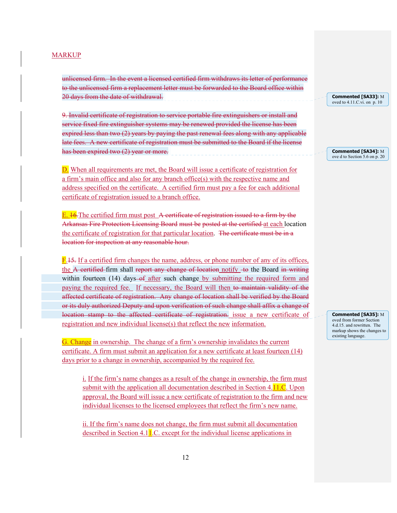unlicensed firm. In the event a licensed certified firm withdraws its letter of performance to the unlicensed firm a replacement letter must be forwarded to the Board office within 20 days from the date of withdrawal.

9. Invalid certificate of registration to service portable fire extinguishers or install and service fixed fire extinguisher systems may be renewed provided the license has been expired less than two (2) years by paying the past renewal fees along with any applicable late fees. A new certificate of registration must be submitted to the Board if the license has been expired two (2) year or more.

D. When all requirements are met, the Board will issue a certificate of registration for a firm's main office and also for any branch office(s) with the respective name and address specified on the certificate. A certified firm must pay a fee for each additional certificate of registration issued to a branch office.

 $E. 16$ . The certified firm must post A certificate of registration issued to a firm by the Arkansas Fire Protection Licensing Board must be posted at the certified at each location the certificate of registration for that particular location. The certificate must be in a location for inspection at any reasonable hour.

F.<sup>15.</sup> If a certified firm changes the name, address, or phone number of any of its offices, the A certified firm shall report any change of location notify to the Board in writing within fourteen  $(14)$  days  $-6$  after such change by submitting the required form and paying the required fee. If necessary, the Board will then to maintain validity of the affected certificate of registration. Any change of location shall be verified by the Board or its duly authorized Deputy and upon verification of such change shall affix a change of location stamp to the affected certificate of registration. issue a new certificate of registration and new individual license(s) that reflect the new information.

G. Change in ownership. The change of a firm's ownership invalidates the current certificate. A firm must submit an application for a new certificate at least fourteen (14) days prior to a change in ownership, accompanied by the required fee.

 i. If the firm's name changes as a result of the change in ownership, the firm must submit with the application all documentation described in Section 4.11.C. Upon approval, the Board will issue a new certificate of registration to the firm and new individual licenses to the licensed employees that reflect the firm's new name.

 ii. If the firm's name does not change, the firm must submit all documentation described in Section 4.11.C. except for the individual license applications in

**Commented [SA33]:** M oved to 4.11.C.vi. on p. 10

**Commented [SA34]:** M ove d to Section 5.6 on p. 20

**Commented [SA35]:** M oved from former Section 4.d.15. and rewritten. The markup shows the changes to existing language.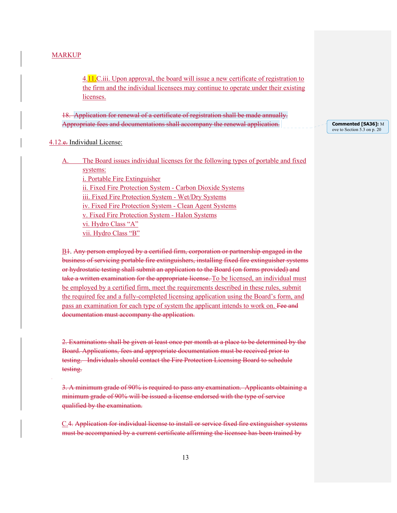4.11.C.iii. Upon approval, the board will issue a new certificate of registration to the firm and the individual licensees may continue to operate under their existing licenses.

18. Application for renewal of a certificate of registration shall be made annually. Appropriate fees and documentations shall accompany the renewal application.

**Commented [SA36]:** M ove to Section 5.3 on p. 20

# 4.12.e. Individual License:

The Board issues individual licenses for the following types of portable and fixed

systems:

i. Portable Fire Extinguisher ii. Fixed Fire Protection System - Carbon Dioxide Systems iii. Fixed Fire Protection System - Wet/Dry Systems iv. Fixed Fire Protection System - Clean Agent Systems v. Fixed Fire Protection System - Halon Systems vi. Hydro Class "A" vii. Hydro Class "B"

B1. Any person employed by a certified firm, corporation or partnership engaged in the business of servicing portable fire extinguishers, installing fixed fire extinguisher systems or hydrostatic testing shall submit an application to the Board (on forms provided) and take a written examination for the appropriate license. To be licensed, an individual must be employed by a certified firm, meet the requirements described in these rules, submit the required fee and a fully-completed licensing application using the Board's form, and pass an examination for each type of system the applicant intends to work on. Fee and documentation must accompany the application.

2. Examinations shall be given at least once per month at a place to be determined by the Board. Applications, fees and appropriate documentation must be received prior to testing. Individuals should contact the Fire Protection Licensing Board to schedule testing.

3. A minimum grade of 90% is required to pass any examination. Applicants obtaining a minimum grade of 90% will be issued a license endorsed with the type of service qualified by the examination.

C.4. Application for individual license to install or service fixed fire extinguisher systems must be accompanied by a current certificate affirming the licensee has been trained by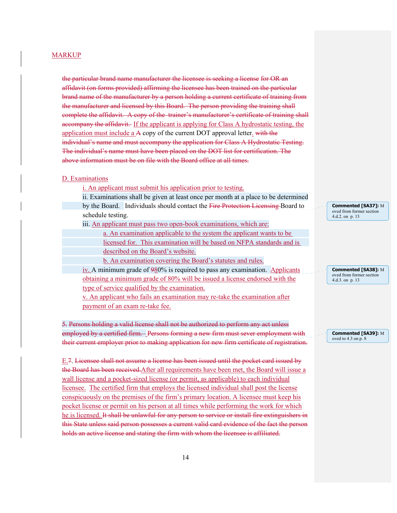the particular brand name manufacturer the licensee is seeking a license for OR an affidavit (on forms provided) affirming the licensee has been trained on the particular brand name of the manufacturer by a person holding a current certificate of training from the manufacturer and licensed by this Board. The person providing the training shall complete the affidavit. A copy of the trainer's manufacturer's certificate of training shall accompany the affidavit. If the applicant is applying for Class A hydrostatic testing, the application must include a  $A$  copy of the current DOT approval letter. with the individual's name and must accompany the application for Class A Hydrostatic Testing. The individual's name must have been placed on the DOT list for certification. The above information must be on file with the Board office at all times.

#### D. Examinations

i. An applicant must submit his application prior to testing.

 ii. Examinations shall be given at least once per month at a place to be determined by the Board. Individuals should contact the Fire Protection Licensing Board to schedule testing.

iii. An applicant must pass two open-book examinations, which are:

 a. An examination applicable to the system the applicant wants to be licensed for. This examination will be based on NFPA standards and is

described on the Board's website.

b. An examination covering the Board's statutes and rules.

iv. A minimum grade of 980% is required to pass any examination. Applicants obtaining a minimum grade of 80% will be issued a license endorsed with the type of service qualified by the examination.

v. An applicant who fails an examination may re-take the examination after payment of an exam re-take fee.

5. Persons holding a valid license shall not be authorized to perform any act unless employed by a certified firm. Persons forming a new firm must sever employment with their current employer prior to making application for new firm certificate of registration.

E.7. Licensee shall not assume a license has been issued until the pocket card issued by the Board has been received.After all requirements have been met, the Board will issue a wall license and a pocket-sized license (or permit, as applicable) to each individual licensee. The certified firm that employs the licensed individual shall post the license conspicuously on the premises of the firm's primary location. A licensee must keep his pocket license or permit on his person at all times while performing the work for which he is licensed. It shall be unlawful for any person to service or install fire extinguishers in this State unless said person possesses a current valid card evidence of the fact the person holds an active license and stating the firm with whom the licensee is affiliated.

**Commented [SA37]:** M oved from former section 4.d.2. on p. 13

**Commented [SA38]:** M oved from former section 4.d.3. on p. 13

**Commented [SA39]:** M oved to 4.3 on p. 8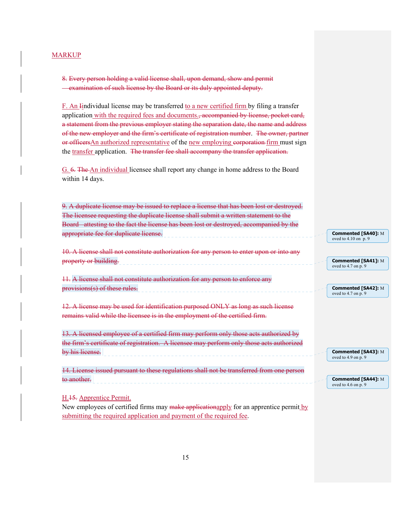8. Every person holding a valid license shall, upon demand, show and permit **Examination of such license by the Board or its duly appointed deputy.** 

F. An Iindividual license may be transferred to a new certified firm by filing a transfer application with the required fees and documents., accompanied by license, pocket card, a statement from the previous employer stating the separation date, the name and address of the new employer and the firm's certificate of registration number. The owner, partner or officers An authorized representative of the new employing corporation firm must sign the transfer application. The transfer fee shall accompany the transfer application.

G. 6. The An individual licensee shall report any change in home address to the Board within 14 days.

| 9. A duplicate license may be issued to replace a license that has been lost or destroyed. |                                                     |
|--------------------------------------------------------------------------------------------|-----------------------------------------------------|
| The licensee requesting the duplicate license shall submit a written statement to the      |                                                     |
| Board attesting to the fact the license has been lost or destroyed, accompanied by the     |                                                     |
| appropriate fee for duplicate license.                                                     | Commented [SA40]: M<br>oved to $4.10$ on $p.9$      |
| 10. A license shall not constitute authorization for any person to enter upon or into any  |                                                     |
| property or building.                                                                      | Commented [SA41]: M<br>oved to $4.7$ on p. 9        |
| 11. A license shall not constitute authorization for any person to enforce any             |                                                     |
| provisions(s) of these rules.                                                              | <b>Commented [SA42]: M</b><br>oved to $4.7$ on p. 9 |
| 12. A license may be used for identification purposed ONLY as long as such license         |                                                     |
| remains valid while the licensee is in the employment of the certified firm.               |                                                     |
| 13. A licensed employee of a certified firm may perform only those acts authorized by      |                                                     |
| the firm's certificate of registration. A licensee may perform only those acts authorized  |                                                     |
| by his license.                                                                            | Commented [SA43]: M<br>oved to $4.9$ on p. $9$      |
| 14. License issued pursuant to these regulations shall not be transferred from one person  |                                                     |
| <del>to another.</del>                                                                     | Commented [SA44]: M<br>oved to $4.6$ on p. 9        |
| H. <sub>15</sub> . Apprentice Permit.                                                      |                                                     |
| New employees of certified firms may make emplications and for an enpressive permit by     |                                                     |

New employees of certified firms may make applicationapply for an apprentice permit by submitting the required application and payment of the required fee.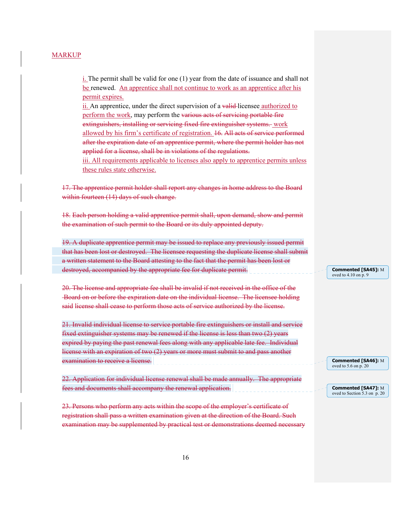i. The permit shall be valid for one (1) year from the date of issuance and shall not be renewed. An apprentice shall not continue to work as an apprentice after his permit expires.

ii. An apprentice, under the direct supervision of a valid licensee authorized to perform the work, may perform the various acts of servicing portable fire extinguishers, installing or servicing fixed fire extinguisher systems. work allowed by his firm's certificate of registration. 16. All acts of service performed after the expiration date of an apprentice permit, where the permit holder has not applied for a license, shall be in violations of the regulations.

iii. All requirements applicable to licenses also apply to apprentice permits unless these rules state otherwise.

17. The apprentice permit holder shall report any changes in home address to the Board within fourteen (14) days of such change.

18. Each person holding a valid apprentice permit shall, upon demand, show and permit the examination of such permit to the Board or its duly appointed deputy.

 19. A duplicate apprentice permit may be issued to replace any previously issued permit that has been lost or destroyed. The licensee requesting the duplicate license shall submit a written statement to the Board attesting to the fact that the permit has been lost or destroyed, accompanied by the appropriate fee for duplicate permit.

20. The license and appropriate fee shall be invalid if not received in the office of the Board on or before the expiration date on the individual license. The licensee holding said license shall cease to perform those acts of service authorized by the license.

21. Invalid individual license to service portable fire extinguishers or install and service fixed extinguisher systems may be renewed if the license is less than two (2) years expired by paying the past renewal fees along with any applicable late fee. Individual license with an expiration of two (2) years or more must submit to and pass another examination to receive a license.

22. Application for individual license renewal shall be made annually. The appropriate fees and documents shall accompany the renewal application.

23. Persons who perform any acts within the scope of the employer's certificate of registration shall pass a written examination given at the direction of the Board. Such examination may be supplemented by practical test or demonstrations deemed necessary **Commented [SA45]:** M oved to  $4.10$  on  $\overline{p}$ , 9

**Commented [SA46]:** M oved to 5.6 on p. 20

**Commented [SA47]:** M oved to Section 5.3 on p. 20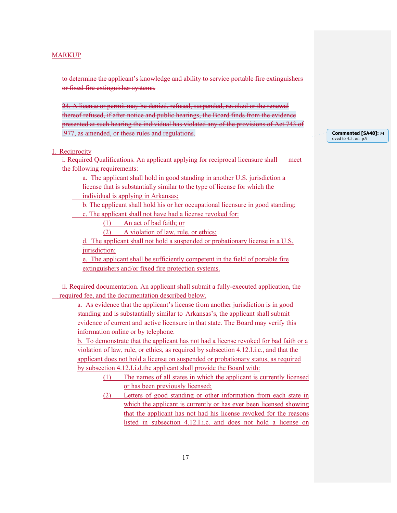to determine the applicant's knowledge and ability to service portable fire extinguishers or fixed fire extinguisher systems.

24. A license or permit may be denied, refused, suspended, revoked or the renewal thereof refused, if after notice and public hearings, the Board finds from the evidence presented at such hearing the individual has violated any of the provisions of Act 743 of l977, as amended, or these rules and regulations.

### I. Reciprocity

i. Required Qualifications. An applicant applying for reciprocal licensure shall meet the following requirements:

a. The applicant shall hold in good standing in another U.S. jurisdiction a

license that is substantially similar to the type of license for which the

individual is applying in Arkansas;

 b. The applicant shall hold his or her occupational licensure in good standing; c. The applicant shall not have had a license revoked for:

(1) An act of bad faith; or

(2) A violation of law, rule, or ethics;

d. The applicant shall not hold a suspended or probationary license in a U.S. jurisdiction;

e. The applicant shall be sufficiently competent in the field of portable fire extinguishers and/or fixed fire protection systems.

 ii. Required documentation. An applicant shall submit a fully-executed application, the required fee, and the documentation described below.

 a. As evidence that the applicant's license from another jurisdiction is in good standing and is substantially similar to Arkansas's, the applicant shall submit evidence of current and active licensure in that state. The Board may verify this information online or by telephone.

 b. To demonstrate that the applicant has not had a license revoked for bad faith or a violation of law, rule, or ethics, as required by subsection 4.12.I.i.c., and that the applicant does not hold a license on suspended or probationary status, as required by subsection 4.12.I.i.d.the applicant shall provide the Board with:

> (1) The names of all states in which the applicant is currently licensed or has been previously licensed;

> (2) Letters of good standing or other information from each state in which the applicant is currently or has ever been licensed showing that the applicant has not had his license revoked for the reasons listed in subsection 4.12.I.i.c. and does not hold a license on

**Commented [SA48]:** M oved to 4.5. on p.9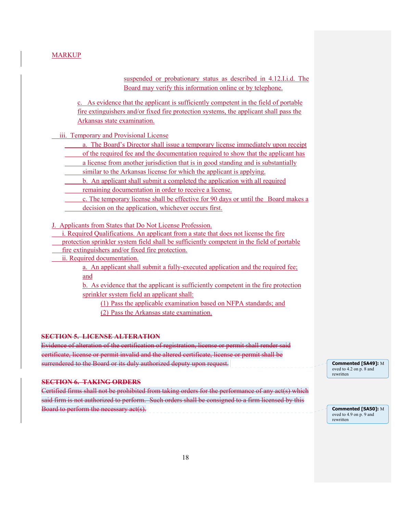suspended or probationary status as described in 4.12.I.i.d. The Board may verify this information online or by telephone.

c. As evidence that the applicant is sufficiently competent in the field of portable fire extinguishers and/or fixed fire protection systems, the applicant shall pass the Arkansas state examination.

iii. Temporary and Provisional License

- a. The Board's Director shall issue a temporary license immediately upon receipt
- of the required fee and the documentation required to show that the applicant has
- a license from another jurisdiction that is in good standing and is substantially
- similar to the Arkansas license for which the applicant is applying.
- b. An applicant shall submit a completed the application with all required
- remaining documentation in order to receive a license.
- c. The temporary license shall be effective for 90 days or until the Board makes a
- decision on the application, whichever occurs first.

J. Applicants from States that Do Not License Profession.

- i. Required Qualifications. An applicant from a state that does not license the fire
- protection sprinkler system field shall be sufficiently competent in the field of portable
- fire extinguishers and/or fixed fire protection.
- ii. Required documentation.

 a. An applicant shall submit a fully-executed application and the required fee; and

 b. As evidence that the applicant is sufficiently competent in the fire protection sprinkler system field an applicant shall:

(1) Pass the applicable examination based on NFPA standards; and (2) Pass the Arkansas state examination.

### **SECTION 5. LICENSE ALTERATION**

Evidence of alteration of the certification of registration, license or permit shall render said certificate, license or permit invalid and the altered certificate, license or permit shall be surrendered to the Board or its duly authorized deputy upon request.

### **SECTION 6. TAKING ORDERS**

Certified firms shall not be prohibited from taking orders for the performance of any act(s) which said firm is not authorized to perform. Such orders shall be consigned to a firm licensed by this Board to perform the necessary act(s).

**Commented [SA49]:** M oved to 4.2 on p. 8 and rewritten

**Commented [SA50]:** M oved to 4.9 on p. 9 and rewritten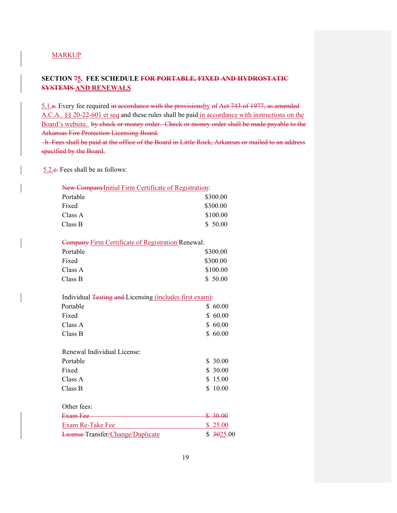# **SECTION 75. FEE SCHEDULE FOR PORTABLE, FIXED AND HYDROSTATIC SYSTEMS AND RENEWALS**

5.1.a. Every fee required in accordance with the provisionsby of Act 743 of 1977, as amended A.C.A.. §§ 20-22-601 et seq and these rules shall be paid in accordance with instructions on the Board's website. by check or money order. Check or money order shall be made payable to the Arkansas Fire Protection Licensing Board.

 b. Fees shall be paid at the office of the Board in Little Rock, Arkansas or mailed to an address specified by the Board.

5.2.c. Fees shall be as follows:

| New CompanyInitial Firm Certificate of Registration: |          |  |
|------------------------------------------------------|----------|--|
| Portable                                             | \$300.00 |  |
| Fixed                                                | \$300.00 |  |
| Class A                                              | \$100.00 |  |
| Class B                                              | \$50.00  |  |

Company Firm Certificate of Registration Renewal:

| Portable | \$300.00 |
|----------|----------|
| Fixed    | \$300.00 |
| Class A  | \$100.00 |
| Class B  | \$50.00  |

| Portable | \$60.00 |
|----------|---------|
| Fixed    | \$60.00 |
| Class A  | \$60.00 |
| Class B  | \$60.00 |

| Renewal Individual License: |         |
|-----------------------------|---------|
| Portable                    | \$30.00 |
| Fixed                       | \$30.00 |
| Class A                     | \$15.00 |
| Class B                     | \$10.00 |
|                             |         |

# Other fees:

| Exam Fee                          | $P = 3000$<br><del>0 JU.UU</del> |
|-----------------------------------|----------------------------------|
| Exam Re-Take Fee                  | \$25.00                          |
| License-Transfer/Change/Duplicate | \$3025.00                        |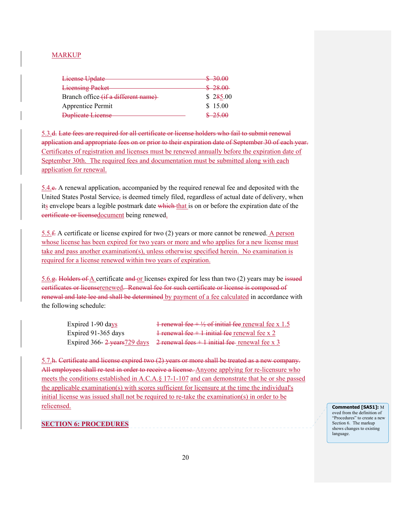| <b>License Update</b>               | $\mathfrak{e}\hspace{0.3mm}$ 2000<br><del>-30.00</del> |
|-------------------------------------|--------------------------------------------------------|
| <b>Licensing Packet</b>             | \$28.00                                                |
| Branch office (if a different name) | \$285.00                                               |
| Apprentice Permit                   | \$15.00                                                |
| Duplicate License                   |                                                        |

5.3.d. Late fees are required for all certificate or license holders who fail to submit renewal application and appropriate fees on or prior to their expiration date of September 30 of each year. Certificates of registration and licenses must be renewed annually before the expiration date of September 30th. The required fees and documentation must be submitted along with each application for renewal.

5.4.e. A renewal application, accompanied by the required renewal fee and deposited with the United States Postal Service, is deemed timely filed, regardless of actual date of delivery, when its envelope bears a legible postmark date which that is on or before the expiration date of the certificate or licensedocument being renewed.

5.5.f. A certificate or license expired for two (2) years or more cannot be renewed. A person whose license has been expired for two years or more and who applies for a new license must take and pass another examination(s), unless otherwise specified herein. No examination is required for a license renewed within two years of expiration.

5.6.g. Holders of A certificate and or licenses expired for less than two (2) years may be issued certificates or licenserenewed. Renewal fee for such certificate or license is composed of renewal and late lee and shall be determined by payment of a fee calculated in accordance with the following schedule:

| Expired 1-90 days   | 1 renewal fee + $\frac{1}{2}$ of initial fee renewal fee x 1.5                    |
|---------------------|-----------------------------------------------------------------------------------|
| Expired 91-365 days | $\frac{1}{2}$ renewal fee + 1 initial fee renewal fee x 2                         |
|                     | Expired 366- $2$ years $729$ days 2 renewal fees $+1$ initial fee renewal fee x 3 |

5.7.h. Certificate and license expired two (2) years or more shall be treated as a new company. All employees shall re-test in order to receive a license. Anyone applying for re-licensure who meets the conditions established in A.C.A.§ 17-1-107 and can demonstrate that he or she passed the applicable examination(s) with scores sufficient for licensure at the time the individual's initial license was issued shall not be required to re-take the examination(s) in order to be relicensed.

### **SECTION 6: PROCEDURES**

**Commented [SA51]:** M oved from the definition of "Procedures" to create a new Section 6. The markup shows changes to existing language.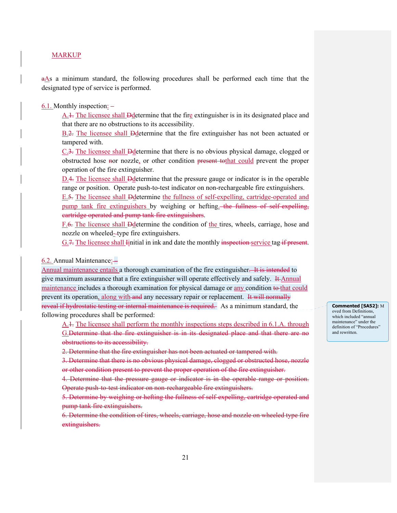aAs a minimum standard, the following procedures shall be performed each time that the designated type of service is performed.

6.1. Monthly inspection: –

A.1. The licensee shall Ddetermine that the fire extinguisher is in its designated place and that there are no obstructions to its accessibility.

B.2. The licensee shall Ddetermine that the fire extinguisher has not been actuated or tampered with.

C.3. The licensee shall Ddetermine that there is no obvious physical damage, clogged or obstructed hose nor nozzle, or other condition present tothat could prevent the proper operation of the fire extinguisher.

D.4. The licensee shall Ddetermine that the pressure gauge or indicator is in the operable range or position. Operate push-to-test indicator on non-rechargeable fire extinguishers.

E.5. The licensee shall Ddetermine the fullness of self-expelling, cartridge-operated and pump tank fire extinguishers by weighing or hefting. the fullness of self-expelling, cartridge operated and pump tank fire extinguishers.

F.6. The licensee shall Ddetermine the condition of the tires, wheels, carriage, hose and nozzle on wheeled--type fire extinguishers.

G.7. The licensee shall Iinitial in ink and date the monthly inspection service tag if present.

### 6.2. Annual Maintenance: –

Annual maintenance entails a thorough examination of the fire extinguisher. It is intended to give maximum assurance that a fire extinguisher will operate effectively and safely. It Annual maintenance includes a thorough examination for physical damage or any condition to that could prevent its operation, along with and any necessary repair or replacement. It will normally reveal if hydrostatic testing or internal maintenance is required. As a minimum standard, the following procedures shall be performed:

A.<sup>1</sup>. The licensee shall perform the monthly inspections steps described in 6.1.A. through G.Determine that the fire extinguisher is in its designated place and that there are no obstructions to its accessibility.

2. Determine that the fire extinguisher has not been actuated or tampered with.

3. Determine that there is no obvious physical damage, clogged or obstructed hose, nozzle or other condition present to prevent the proper operation of the fire extinguisher.

4. Determine that the pressure gauge or indicator is in the operable range or position. Operate push-to-test indicator on non-rechargeable fire extinguishers.

5. Determine by weighing or hefting the fullness of self-expelling, cartridge operated and pump tank fire extinguishers.

6. Determine the condition of tires, wheels, carriage, hose and nozzle on wheeled type fire extinguishers.

**Commented [SA52]:** M oved from Definitions, which included "annual maintenance" under the definition of "Procedures" and rewritten.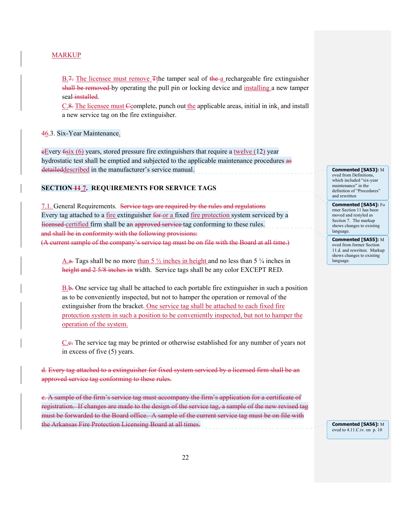B.7. The licensee must remove Tthe tamper seal of the a rechargeable fire extinguisher shall be removed by operating the pull pin or locking device and installing a new tamper seal-installed.

 $C.8$ . The licensee must Ccomplete, punch out the applicable areas, initial in ink, and install a new service tag on the fire extinguisher.

### 46.3. Six-Year Maintenance.

 $eE$ very  $6s$ ix  $(6)$  years, stored pressure fire extinguishers that require a twelve  $(12)$  year hydrostatic test shall be emptied and subjected to the applicable maintenance procedures as detaileddescribed in the manufacturer's service manual.

#### **SECTION 11 7. REQUIREMENTS FOR SERVICE TAGS**

7.1. General Requirements. Service tags are required by the rules and regulations Every tag attached to a fire extinguisher for or a fixed fire protection system serviced by a licensed certified firm shall be an approved service tag conforming to these rules. and shall be in conformity with the following provisions: (A current sample of the company's service tag must be on file with the Board at all time.)

A.a. Tags shall be no more than 5  $\frac{1}{2}$  inches in height and no less than 5  $\frac{1}{4}$  inches in height and 2 5/8 inches in width. Service tags shall be any color EXCEPT RED.

B.b. One service tag shall be attached to each portable fire extinguisher in such a position as to be conveniently inspected, but not to hamper the operation or removal of the extinguisher from the bracket. One service tag shall be attached to each fixed fire protection system in such a position to be conveniently inspected, but not to hamper the operation of the system.

C.c. The service tag may be printed or otherwise established for any number of years not in excess of five (5) years.

d. Every tag attached to a extinguisher for fixed system serviced by a licensed firm shall be an approved service tag conforming to these rules.

e. A sample of the firm's service tag must accompany the firm's application for a certificate of registration. If changes are made to the design of the service tag, a sample of the new revised tag must be forwarded to the Board office. A sample of the current service tag must be on file with the Arkansas Fire Protection Licensing Board at all times.

**Commented [SA53]:** M oved from Definitions, which included "six-year maintenance" in the definition of "Procedures" and rewritten

**Commented [SA54]:** Fo rmer Section 11 has been moved and restyled as Section 7. The markup shows changes to existing language.

**Commented [SA55]:** M oved from former Section 11.d. and rewritten. Markup shows changes to existing language.

**Commented [SA56]:** M oved to 4.11.C.iv. on p. 10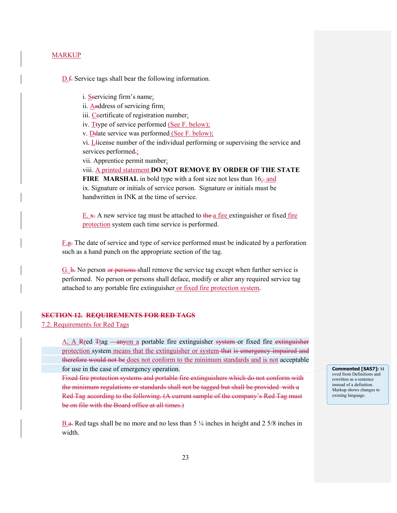D.f. Service tags shall bear the following information.

 i. Sservicing firm's name; ii. Aaddress of servicing firm; iii. Ceertificate of registration number; iv. Ttype of service performed (See F. below); v. Ddate service was performed (See F. below); vi. Let icense number of the individual performing or supervising the service and services performed.; vii. Apprentice permit number; viii. A printed statement **DO NOT REMOVE BY ORDER OF THE STATE FIRE MARSHAL** in bold type with a font size not less than 16;- and ix. Signature or initials of service person. Signature or initials must be handwritten in INK at the time of service.

E.  $\overline{x}$ . A new service tag must be attached to the a fire extinguisher or fixed fire protection system each time service is performed.

 $F.g.$  The date of service and type of service performed must be indicated by a perforation such as a hand punch on the appropriate section of the tag.

 $G$ .  $\overline{h}$ . No person or persons shall remove the service tag except when further service is performed. No person or persons shall deface, modify or alter any required service tag attached to any portable fire extinguisher or fixed fire protection system.

# **SECTION 12. REQUIREMENTS FOR RED TAGS**

7.2. Requirements for Red Tags

A. A Rred Ttag —anyon a portable fire extinguisher system or fixed fire extinguisher protection system means that the extinguisher or system that is emergency impaired and therefore would not be does not conform to the minimum standards and is not acceptable for use in the case of emergency operation.

 Fixed fire protection systems and portable fire extinguishers which do not conform with the minimum regulations or standards shall not be tagged but shall be provided with a Red Tag according to the following. (A current sample of the company's Red Tag must be on file with the Board office at all times.)

B.a. Red tags shall be no more and no less than  $5\frac{1}{4}$  inches in height and  $2\frac{5}{8}$  inches in width.

**Commented [SA57]:** M oved from Definitions and rewritten as a sentence instead of a definition. Markup shows changes to existing language.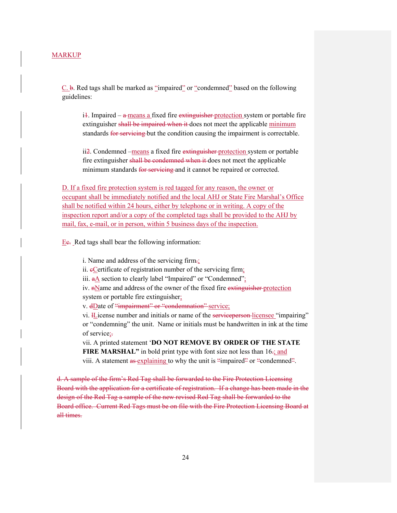C. b. Red tags shall be marked as "impaired" or "condemned" based on the following guidelines:

 $i\text{-}1$ . Impaired –  $\text{-}$  a means a fixed fire  $\text{extinguisher-protection system}$  or portable fire extinguisher shall be impaired when it does not meet the applicable minimum standards for servicing but the condition causing the impairment is correctable.

ii<sub>2</sub>. Condemned –means a fixed fire extinguisher protection system or portable fire extinguisher shall be condemned when it does not meet the applicable minimum standards for servicing and it cannot be repaired or corrected.

D. If a fixed fire protection system is red tagged for any reason, the owner or occupant shall be immediately notified and the local AHJ or State Fire Marshal's Office shall be notified within 24 hours, either by telephone or in writing. A copy of the inspection report and/or a copy of the completed tags shall be provided to the AHJ by mail, fax, e-mail, or in person, within 5 business days of the inspection.

Ee. Red tags shall bear the following information:

i. Name and address of the servicing firm.;

ii. eCertificate of registration number of the servicing firm;

iii.  $aA$  section to clearly label "Impaired" or "Condemned";

iv.  $n$  manne and address of the owner of the fixed fire extinguisher protection system or portable fire extinguisher;

v. dDate of "impairment" or "condemnation" service;

vi. Hicense number and initials or name of the service person-licensee "impairing" or "condemning" the unit. Name or initials must be handwritten in ink at the time of service;-

vii. A printed statement '**DO NOT REMOVE BY ORDER OF THE STATE FIRE MARSHAL"** in bold print type with font size not less than 16-; and viii. A statement as explaining to why the unit is "impaired" or "condemned".

d. A sample of the firm's Red Tag shall be forwarded to the Fire Protection Licensing Board with the application for a certificate of registration. If a change has been made in the design of the Red Tag a sample of the new revised Red Tag shall be forwarded to the Board office. Current Red Tags must be on file with the Fire Protection Licensing Board at all times.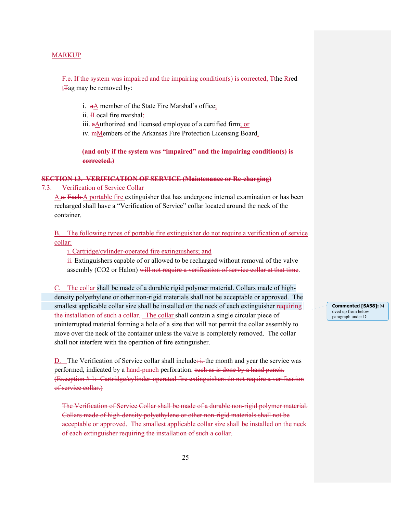F.e. If the system was impaired and the impairing condition(s) is corrected, Tthe Rred  $t\text{Tag}$  may be removed by:

i. aA member of the State Fire Marshal's office;

ii. *H*ocal fire marshal;

iii.  $a$ Authorized and licensed employee of a certified firm; or

iv. mMembers of the Arkansas Fire Protection Licensing Board.

**(and only if the system was "impaired" and the impairing condition(s) is corrected.**)

# **SECTION 13. VERIFICATION OF SERVICE (Maintenance or Re-charging)**

7.3. Verification of Service Collar

A.a. Each A portable fire extinguisher that has undergone internal examination or has been recharged shall have a "Verification of Service" collar located around the neck of the container.

B. The following types of portable fire extinguisher do not require a verification of service collar:

i. Cartridge/cylinder-operated fire extinguishers; and

 ii. Extinguishers capable of or allowed to be recharged without removal of the valve assembly (CO2 or Halon) will not require a verification of service collar at that time.

C. The collar shall be made of a durable rigid polymer material. Collars made of high density polyethylene or other non-rigid materials shall not be acceptable or approved. The smallest applicable collar size shall be installed on the neck of each extinguisher requiring the installation of such a collar. The collar shall contain a single circular piece of uninterrupted material forming a hole of a size that will not permit the collar assembly to move over the neck of the container unless the valve is completely removed. The collar shall not interfere with the operation of fire extinguisher.

D. The Verification of Service collar shall include:  $\frac{1}{k}$ -the month and year the service was performed, indicated by a hand-punch perforation. such as is done by a hand punch. (Exception # 1: Cartridge/cylinder-operated fire extinguishers do not require a verification of service collar.)

The Verification of Service Collar shall be made of a durable non-rigid polymer material. Collars made of high-density polyethylene or other non-rigid materials shall not be acceptable or approved. The smallest applicable collar size shall be installed on the neck of each extinguisher requiring the installation of such a collar.

**Commented [SA58]:** M oved up from below paragraph under D.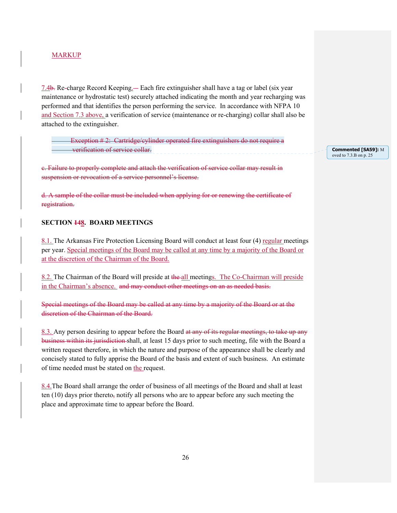7.4b. Re-charge Record Keeping. – Each fire extinguisher shall have a tag or label (six year maintenance or hydrostatic test) securely attached indicating the month and year recharging was performed and that identifies the person performing the service. In accordance with NFPA 10 and Section 7.3 above, a verification of service (maintenance or re-charging) collar shall also be attached to the extinguisher.

Exception #2: Cartridge/cylinder operated fire extinguishers do not require a verification of service collar.

**Commented [SA59]:** M oved to 7.3.B on p. 25

c. Failure to properly complete and attach the verification of service collar may result in suspension or revocation of a service personnel's license.

d. A sample of the collar must be included when applying for or renewing the certificate of registration.

# **SECTION 148. BOARD MEETINGS**

8.1. The Arkansas Fire Protection Licensing Board will conduct at least four (4) regular meetings per year. Special meetings of the Board may be called at any time by a majority of the Board or at the discretion of the Chairman of the Board.

8.2. The Chairman of the Board will preside at the all meetings. The Co-Chairman will preside in the Chairman's absence. and may conduct other meetings on an as needed basis.

Special meetings of the Board may be called at any time by a majority of the Board or at the discretion of the Chairman of the Board.

8.3. Any person desiring to appear before the Board at any of its regular meetings, to take up any business within its jurisdiction shall, at least 15 days prior to such meeting, file with the Board a written request therefore, in which the nature and purpose of the appearance shall be clearly and concisely stated to fully apprise the Board of the basis and extent of such business. An estimate of time needed must be stated on the request.

8.4.The Board shall arrange the order of business of all meetings of the Board and shall at least ten  $(10)$  days prior thereto, notify all persons who are to appear before any such meeting the place and approximate time to appear before the Board.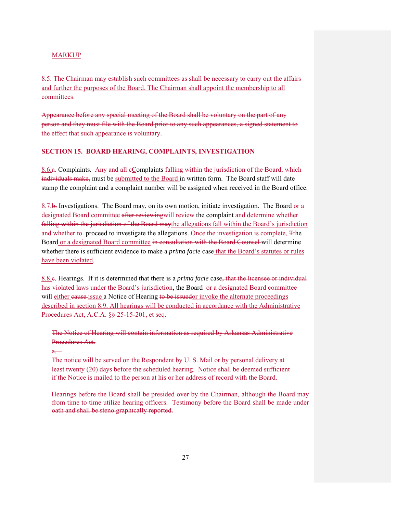8.5. The Chairman may establish such committees as shall be necessary to carry out the affairs and further the purposes of the Board. The Chairman shall appoint the membership to all committees.

Appearance before any special meeting of the Board shall be voluntary on the part of any person and they must file with the Board prior to any such appearances, a signed statement to the effect that such appearance is voluntary.

# **SECTION 15. BOARD HEARING, COMPLAINTS, INVESTIGATION**

8.6.a. Complaints. Any and all cComplaints falling within the jurisdiction of the Board, which individuals make, must be submitted to the Board in written form. The Board staff will date stamp the complaint and a complaint number will be assigned when received in the Board office.

8.7.b. Investigations. The Board may, on its own motion, initiate investigation. The Board or a designated Board committee after reviewingwill review the complaint and determine whether falling within the jurisdiction of the Board may the allegations fall within the Board's jurisdiction and whether to proceed to investigate the allegations. Once the investigation is complete, Tthe Board or a designated Board committee in consultation with the Board Counsel will determine whether there is sufficient evidence to make a *prima facie* case that the Board's statutes or rules have been violated.

8.8.c. Hearings. If it is determined that there is a *prima facie* case, that the licensee or individual has violated laws under the Board's jurisdiction, the Board- or a designated Board committee will either eause issue a Notice of Hearing to be issuedor invoke the alternate proceedings described in section 8.9. All hearings will be conducted in accordance with the Administrative Procedures Act, A.C.A. §§ 25-15-201, et seq.

The Notice of Hearing will contain information as required by Arkansas Administrative Procedures Act.

### $\overline{a}$

The notice will be served on the Respondent by U. S. Mail or by personal delivery at least twenty (20) days before the scheduled hearing. Notice shall be deemed sufficient if the Notice is mailed to the person at his or her address of record with the Board.

Hearings before the Board shall be presided over by the Chairman, although the Board may from time to time utilize hearing officers. Testimony before the Board shall be made under oath and shall be steno graphically reported.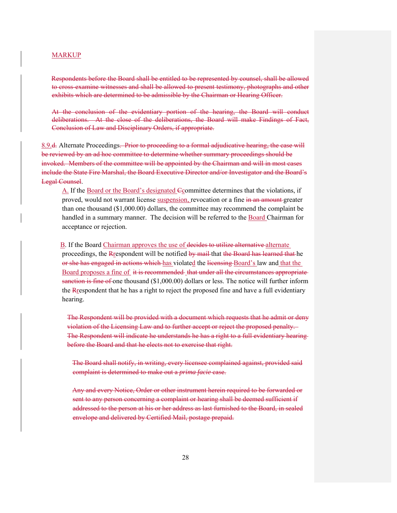Respondents before the Board shall be entitled to be represented by counsel, shall be allowed to cross-examine witnesses and shall be allowed to present testimony, photographs and other exhibits which are determined to be admissible by the Chairman or Hearing Officer.

At the conclusion of the evidentiary portion of the hearing, the Board will conduct deliberations. At the close of the deliberations, the Board will make Findings of Fact, Conclusion of Law and Disciplinary Orders, if appropriate.

8.9.d. Alternate Proceedings. Prior to proceeding to a formal adjudicative hearing, the case will be reviewed by an ad hoc committee to determine whether summary proceedings should be invoked. Members of the committee will be appointed by the Chairman and will in most cases include the State Fire Marshal, the Board Executive Director and/or Investigator and the Board's Legal Counsel.

 A. If the Board or the Board's designated Ccommittee determines that the violations, if proved, would not warrant license suspension, revocation or a fine in an amount greater than one thousand (\$1,000.00) dollars, the committee may recommend the complaint be handled in a summary manner. The decision will be referred to the Board Chairman for acceptance or rejection.

B. If the Board Chairman approves the use of decides to utilize alternative alternate proceedings, the Respondent will be notified by mail that the Board has learned that he or she has engaged in actions which has violated the licensing Board's law and that the Board proposes a fine of it is recommended that under all the circumstances appropriate sanetion is fine of one thousand (\$1,000.00) dollars or less. The notice will further inform the Respondent that he has a right to reject the proposed fine and have a full evidentiary hearing.

The Respondent will be provided with a document which requests that he admit or deny violation of the Licensing Law and to further accept or reject the proposed penalty. The Respondent will indicate he understands he has a right to a full evidentiary hearing before the Board and that he elects not to exercise that right.

The Board shall notify, in writing, every licensee complained against, provided said complaint is determined to make out a *prima facie* case.

Any and every Notice, Order or other instrument herein required to be forwarded or sent to any person concerning a complaint or hearing shall be deemed sufficient if addressed to the person at his or her address as last furnished to the Board, in sealed envelope and delivered by Certified Mail, postage prepaid.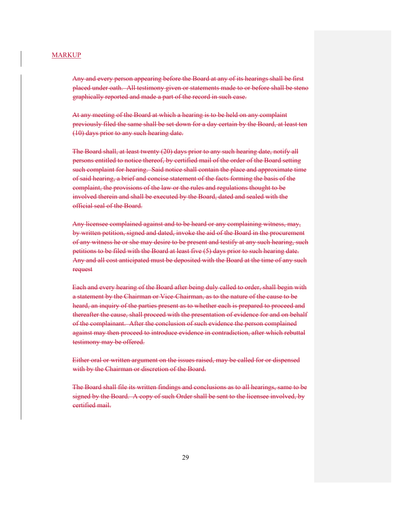Any and every person appearing before the Board at any of its hearings shall be first placed under oath. All testimony given or statements made to or before shall be steno graphically reported and made a part of the record in such case.

At any meeting of the Board at which a hearing is to be held on any complaint previously filed the same shall be set down for a day certain by the Board, at least ten (10) days prior to any such hearing date.

The Board shall, at least twenty (20) days prior to any such hearing date, notify all persons entitled to notice thereof, by certified mail of the order of the Board setting such complaint for hearing. Said notice shall contain the place and approximate time of said hearing, a brief and concise statement of the facts forming the basis of the complaint, the provisions of the law or the rules and regulations thought to be involved therein and shall be executed by the Board, dated and sealed with the official seal of the Board.

Any licensee complained against and to be heard or any complaining witness, may, by written petition, signed and dated, invoke the aid of the Board in the procurement of any witness he or she may desire to be present and testify at any such hearing, such petitions to be filed with the Board at least five (5) days prior to such hearing date. Any and all cost anticipated must be deposited with the Board at the time of any such request

Each and every hearing of the Board after being duly called to order, shall begin with a statement by the Chairman or Vice-Chairman, as to the nature of the cause to be heard, an inquiry of the parties present as to whether each is prepared to proceed and thereafter the cause, shall proceed with the presentation of evidence for and on behalf of the complainant. After the conclusion of such evidence the person complained against may then proceed to introduce evidence in contradiction, after which rebuttal testimony may be offered.

Either oral or written argument on the issues raised, may be called for or dispensed with by the Chairman or discretion of the Board.

The Board shall file its written findings and conclusions as to all hearings, same to be signed by the Board. A copy of such Order shall be sent to the licensee involved, by certified mail.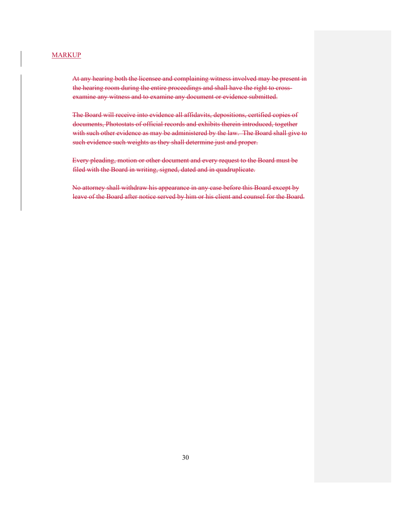At any hearing both the licensee and complaining witness involved may be present in the hearing room during the entire proceedings and shall have the right to crossexamine any witness and to examine any document or evidence submitted.

The Board will receive into evidence all affidavits, depositions, certified copies of documents, Photostats of official records and exhibits therein introduced, together with such other evidence as may be administered by the law. The Board shall give to such evidence such weights as they shall determine just and proper.

Every pleading, motion or other document and every request to the Board must be filed with the Board in writing, signed, dated and in quadruplicate.

No attorney shall withdraw his appearance in any case before this Board except by leave of the Board after notice served by him or his client and counsel for the Board.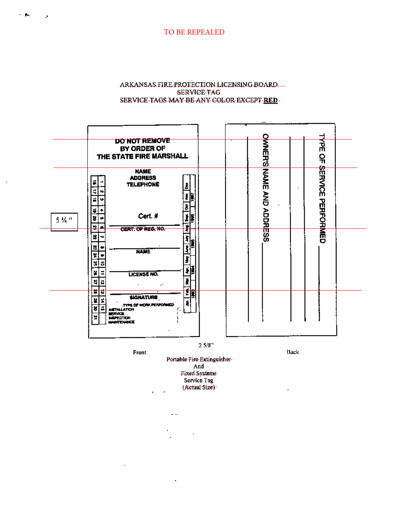TO BE REPEALED

 $\bullet$ 

 $\mathbf{r}$ 

### ARKANSAS FIRE PROTECTION LICENSING BOARD... SERVICE-TAG SERVICE-TAGS MAY BE ANY COLOR EXCEPT RED-



Front

Back

 $\overline{a}$ 

Portable-Fire-Extinguisher-And Fixed Systems Service Tag (Actual Size)-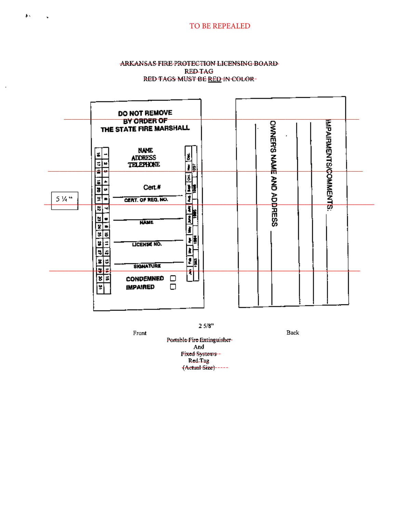# **TO BE REPEALED**

### ARKANSAS FIRE PROTECTION LICENSING BOARD RED-TAG RED TAGS MUST BE RED IN COLOR-

|       | DO NOT REMOVE<br>BY ORDER OF                                                              |                                  |                            |
|-------|-------------------------------------------------------------------------------------------|----------------------------------|----------------------------|
|       | THE STATE FIRE MARSHALL                                                                   |                                  |                            |
|       | <b>NAME</b><br>ť.<br>ś<br><b>ADDRESS</b><br>₹<br>TELEPHONE<br>w<br><u>i b</u>             |                                  |                            |
|       | Ŧ<br>브<br>÷,<br>壟<br>Cert.#<br>ä<br>œ                                                     | <b>CONNECTS NAME AND ADDRESS</b> | <b>MPAIRMENTS/COMMENTS</b> |
| 5 % " | ī<br>¥<br>CERT. OF REG. NO.<br>ड<br>$\overline{\mathbf{H}}$<br>×.<br>÷,                   |                                  |                            |
|       | <b>NAME</b><br>₹<br>ਕ[ਛ <br>∤≹<br>¥<br>LICENSE NO.<br>Ξ                                   |                                  |                            |
|       | N,<br>ء⊧ا<br>增<br>z<br>E<br><b>SIGNATURE</b><br>≉∣≠<br>4                                  |                                  |                            |
|       | $\overline{\phantom{a}}$<br>ß.<br><b>CONDEMNED</b><br>$\Box$<br>□<br><b>IMPAIRED</b><br>Ч |                                  |                            |
|       |                                                                                           |                                  |                            |

 $2.5/8^{\rm m}$ 

Back

Front Portable Fire Extinguisher-And Fixed Systems -<br>Red Tag<br>(Actual Size) - - - -

₽.

l,

 $\ddot{\phantom{1}}$